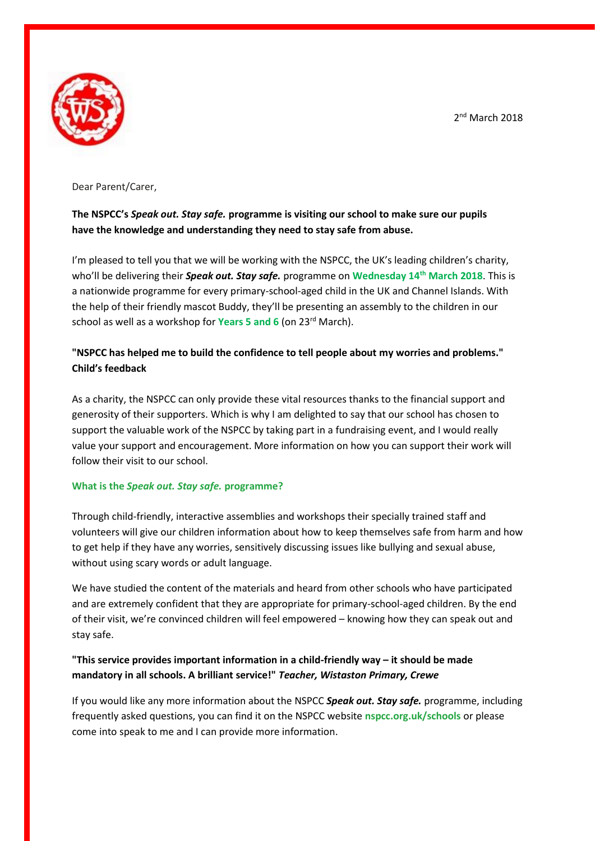2<sup>nd</sup> March 2018



Dear Parent/Carer,

# **The NSPCC's** *Speak out. Stay safe.* **programme is visiting our school to make sure our pupils have the knowledge and understanding they need to stay safe from abuse.**

I'm pleased to tell you that we will be working with the NSPCC, the UK's leading children's charity, who'll be delivering their *Speak out. Stay safe.* programme on **Wednesday 14th March 2018**. This is a nationwide programme for every primary-school-aged child in the UK and Channel Islands. With the help of their friendly mascot Buddy, they'll be presenting an assembly to the children in our school as well as a workshop for **Years 5 and 6** (on 23<sup>rd</sup> March).

# **"NSPCC has helped me to build the confidence to tell people about my worries and problems." Child's feedback**

As a charity, the NSPCC can only provide these vital resources thanks to the financial support and generosity of their supporters. Which is why I am delighted to say that our school has chosen to support the valuable work of the NSPCC by taking part in a fundraising event, and I would really value your support and encouragement. More information on how you can support their work will follow their visit to our school.

## **What is the** *Speak out. Stay safe.* **programme?**

Through child-friendly, interactive assemblies and workshops their specially trained staff and volunteers will give our children information about how to keep themselves safe from harm and how to get help if they have any worries, sensitively discussing issues like bullying and sexual abuse, without using scary words or adult language.

We have studied the content of the materials and heard from other schools who have participated and are extremely confident that they are appropriate for primary-school-aged children. By the end of their visit, we're convinced children will feel empowered – knowing how they can speak out and stay safe.

# **"This service provides important information in a child-friendly way – it should be made mandatory in all schools. A brilliant service!"** *Teacher, Wistaston Primary, Crewe*

If you would like any more information about the NSPCC *Speak out. Stay safe.* programme, including frequently asked questions, you can find it on the NSPCC website **nspcc.org.uk/schools** or please come into speak to me and I can provide more information.